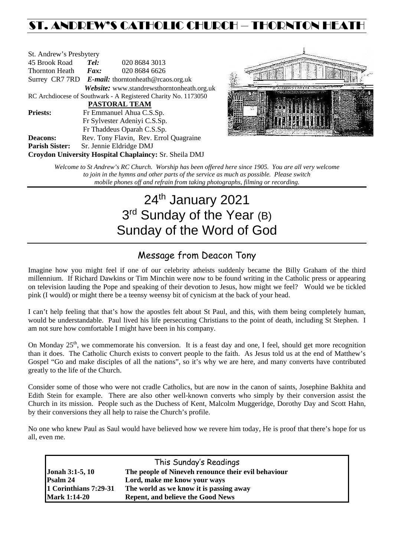## ST. ANDREW'S CATHOLIC CHURCH – THORNTON HEAT

| St. Andrew's Presbytery                                        |                                                      |                                            |  |  |  |
|----------------------------------------------------------------|------------------------------------------------------|--------------------------------------------|--|--|--|
| 45 Brook Road                                                  | Tel:                                                 | 020 8684 3013                              |  |  |  |
| Thornton Heath                                                 | Fax:                                                 | 020 8684 6626                              |  |  |  |
|                                                                | Surrey CR7 7RD $E$ -mail: thorntonheath@rcaos.org.uk |                                            |  |  |  |
|                                                                |                                                      | Website: www.standrewsthorntonheath.org.uk |  |  |  |
| RC Archdiocese of Southwark - A Registered Charity No. 1173050 |                                                      |                                            |  |  |  |
| <b>PASTORAL TEAM</b>                                           |                                                      |                                            |  |  |  |
| <b>Priests:</b>                                                |                                                      | Fr Emmanuel Ahua C.S.Sp.                   |  |  |  |
|                                                                | Fr Sylvester Adeniyi C.S.Sp.                         |                                            |  |  |  |
|                                                                |                                                      | Fr Thaddeus Oparah C.S.Sp.                 |  |  |  |
| <b>Deacons:</b>                                                |                                                      | Rev. Tony Flavin, Rev. Errol Quagraine     |  |  |  |
| <b>Parish Sister:</b>                                          |                                                      | Sr. Jennie Eldridge DMJ                    |  |  |  |
| Croydon University Hospital Chaplaincy: Sr. Sheila DMJ         |                                                      |                                            |  |  |  |



*Welcome to St Andrew's RC Church. Worship has been offered here since 1905. You are all very welcome to join in the hymns and other parts of the service as much as possible. Please switch mobile phones off and refrain from taking photographs, filming or recording.*

# 24<sup>th</sup> January 2021 3<sup>rd</sup> Sunday of the Year (B) Sunday of the Word of God

## Message from Deacon Tony

Imagine how you might feel if one of our celebrity atheists suddenly became the Billy Graham of the third millennium. If Richard Dawkins or Tim Minchin were now to be found writing in the Catholic press or appearing on television lauding the Pope and speaking of their devotion to Jesus, how might we feel? Would we be tickled pink (I would) or might there be a teensy weensy bit of cynicism at the back of your head.

I can't help feeling that that's how the apostles felt about St Paul, and this, with them being completely human, would be understandable. Paul lived his life persecuting Christians to the point of death, including St Stephen. I am not sure how comfortable I might have been in his company.

On Monday 25<sup>th</sup>, we commemorate his conversion. It is a feast day and one, I feel, should get more recognition than it does. The Catholic Church exists to convert people to the faith. As Jesus told us at the end of Matthew's Gospel "Go and make disciples of all the nations", so it's why we are here, and many converts have contributed greatly to the life of the Church.

Consider some of those who were not cradle Catholics, but are now in the canon of saints, Josephine Bakhita and Edith Stein for example. There are also other well-known converts who simply by their conversion assist the Church in its mission. People such as the Duchess of Kent, Malcolm Muggeridge, Dorothy Day and Scott Hahn, by their conversions they all help to raise the Church's profile.

No one who knew Paul as Saul would have believed how we revere him today, He is proof that there's hope for us all, even me.

| This Sunday's Readings |                                                     |  |  |  |
|------------------------|-----------------------------------------------------|--|--|--|
| <b>Jonah 3:1-5, 10</b> | The people of Nineveh renounce their evil behaviour |  |  |  |
| Psalm 24               | Lord, make me know your ways                        |  |  |  |
| 1 Corinthians 7:29-31  | The world as we know it is passing away             |  |  |  |
| <b>Mark 1:14-20</b>    | <b>Repent, and believe the Good News</b>            |  |  |  |